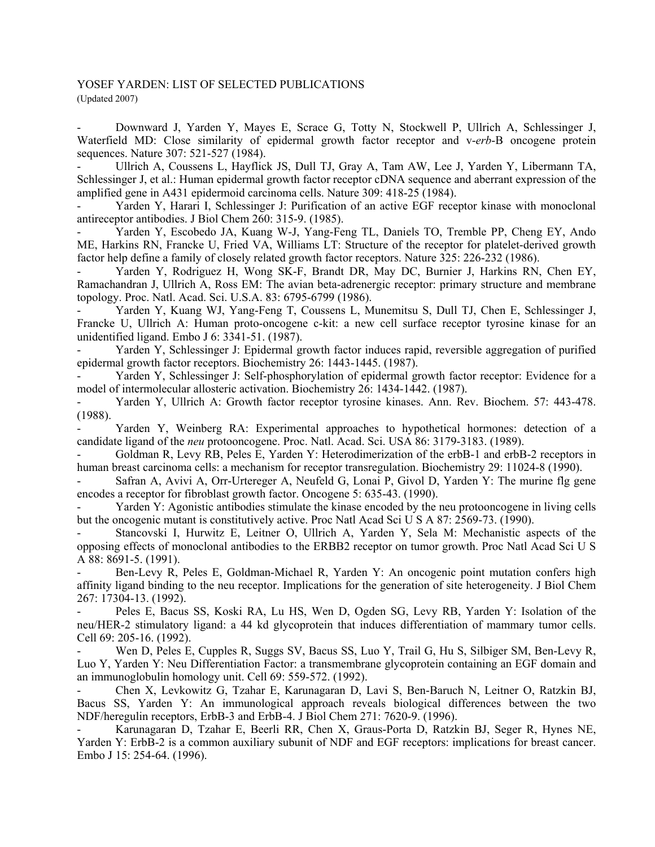## YOSEF YARDEN: LIST OF SELECTED PUBLICATIONS (Updated 2007)

- Downward J, Yarden Y, Mayes E, Scrace G, Totty N, Stockwell P, Ullrich A, Schlessinger J, Waterfield MD: Close similarity of epidermal growth factor receptor and v-*erb*-B oncogene protein sequences. Nature 307: 521-527 (1984).

- Ullrich A, Coussens L, Hayflick JS, Dull TJ, Gray A, Tam AW, Lee J, Yarden Y, Libermann TA, Schlessinger J, et al.: Human epidermal growth factor receptor cDNA sequence and aberrant expression of the amplified gene in A431 epidermoid carcinoma cells. Nature 309: 418-25 (1984).

Yarden Y, Harari I, Schlessinger J: Purification of an active EGF receptor kinase with monoclonal antireceptor antibodies. J Biol Chem 260: 315-9. (1985).

- Yarden Y, Escobedo JA, Kuang W-J, Yang-Feng TL, Daniels TO, Tremble PP, Cheng EY, Ando ME, Harkins RN, Francke U, Fried VA, Williams LT: Structure of the receptor for platelet-derived growth factor help define a family of closely related growth factor receptors. Nature 325: 226-232 (1986).

Yarden Y, Rodriguez H, Wong SK-F, Brandt DR, May DC, Burnier J, Harkins RN, Chen EY, Ramachandran J, Ullrich A, Ross EM: The avian beta-adrenergic receptor: primary structure and membrane topology. Proc. Natl. Acad. Sci. U.S.A. 83: 6795-6799 (1986).

Yarden Y, Kuang WJ, Yang-Feng T, Coussens L, Munemitsu S, Dull TJ, Chen E, Schlessinger J, Francke U, Ullrich A: Human proto-oncogene c-kit: a new cell surface receptor tyrosine kinase for an unidentified ligand. Embo J 6: 3341-51. (1987).

Yarden Y, Schlessinger J: Epidermal growth factor induces rapid, reversible aggregation of purified epidermal growth factor receptors. Biochemistry 26: 1443-1445. (1987).

Yarden Y, Schlessinger J: Self-phosphorylation of epidermal growth factor receptor: Evidence for a model of intermolecular allosteric activation. Biochemistry 26: 1434-1442. (1987).

Yarden Y, Ullrich A: Growth factor receptor tyrosine kinases. Ann. Rev. Biochem. 57: 443-478. (1988).

Yarden Y, Weinberg RA: Experimental approaches to hypothetical hormones: detection of a candidate ligand of the *neu* protooncogene. Proc. Natl. Acad. Sci. USA 86: 3179-3183. (1989).

- Goldman R, Levy RB, Peles E, Yarden Y: Heterodimerization of the erbB-1 and erbB-2 receptors in human breast carcinoma cells: a mechanism for receptor transregulation. Biochemistry 29: 11024-8 (1990).

Safran A, Avivi A, Orr-Urtereger A, Neufeld G, Lonai P, Givol D, Yarden Y: The murine flg gene encodes a receptor for fibroblast growth factor. Oncogene 5: 635-43. (1990).

Yarden Y: Agonistic antibodies stimulate the kinase encoded by the neu protooncogene in living cells but the oncogenic mutant is constitutively active. Proc Natl Acad Sci U S A 87: 2569-73. (1990).

Stancovski I, Hurwitz E, Leitner O, Ullrich A, Yarden Y, Sela M: Mechanistic aspects of the opposing effects of monoclonal antibodies to the ERBB2 receptor on tumor growth. Proc Natl Acad Sci U S A 88: 8691-5. (1991).

Ben-Levy R, Peles E, Goldman-Michael R, Yarden Y: An oncogenic point mutation confers high affinity ligand binding to the neu receptor. Implications for the generation of site heterogeneity. J Biol Chem 267: 17304-13. (1992).

Peles E, Bacus SS, Koski RA, Lu HS, Wen D, Ogden SG, Levy RB, Yarden Y: Isolation of the neu/HER-2 stimulatory ligand: a 44 kd glycoprotein that induces differentiation of mammary tumor cells. Cell 69: 205-16. (1992).

Wen D, Peles E, Cupples R, Suggs SV, Bacus SS, Luo Y, Trail G, Hu S, Silbiger SM, Ben-Levy R, Luo Y, Yarden Y: Neu Differentiation Factor: a transmembrane glycoprotein containing an EGF domain and an immunoglobulin homology unit. Cell 69: 559-572. (1992).

- Chen X, Levkowitz G, Tzahar E, Karunagaran D, Lavi S, Ben-Baruch N, Leitner O, Ratzkin BJ, Bacus SS, Yarden Y: An immunological approach reveals biological differences between the two NDF/heregulin receptors, ErbB-3 and ErbB-4. J Biol Chem 271: 7620-9. (1996).

- Karunagaran D, Tzahar E, Beerli RR, Chen X, Graus-Porta D, Ratzkin BJ, Seger R, Hynes NE, Yarden Y: ErbB-2 is a common auxiliary subunit of NDF and EGF receptors: implications for breast cancer. Embo J 15: 254-64. (1996).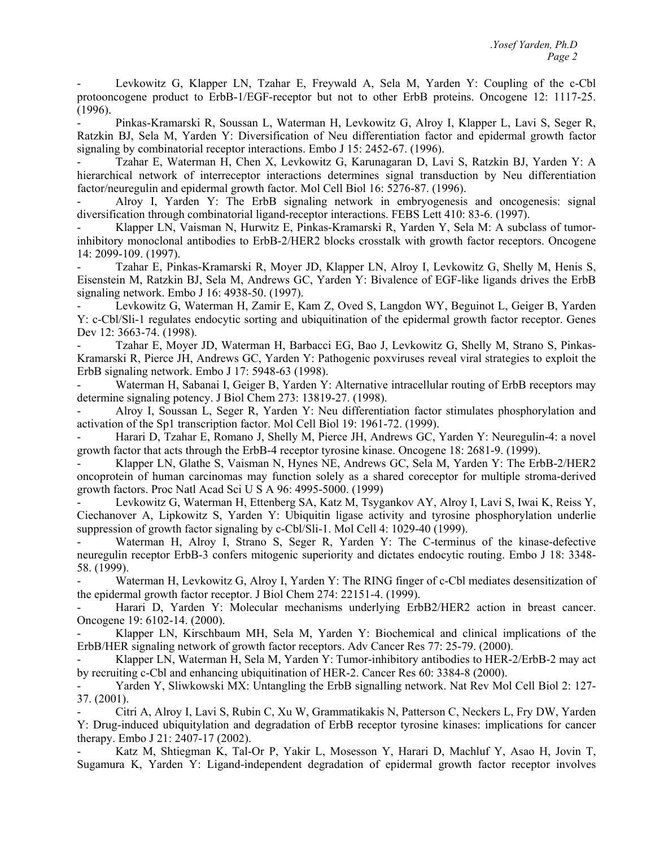- Levkowitz G, Klapper LN, Tzahar E, Freywald A, Sela M, Yarden Y: Coupling of the c-Cbl protooncogene product to ErbB-1/EGF-receptor but not to other ErbB proteins. Oncogene 12: 1117-25. (1996).

Pinkas-Kramarski R, Soussan L, Waterman H, Levkowitz G, Alroy I, Klapper L, Lavi S, Seger R, Ratzkin BJ, Sela M, Yarden Y: Diversification of Neu differentiation factor and epidermal growth factor signaling by combinatorial receptor interactions. Embo J 15: 2452-67. (1996).

- Tzahar E, Waterman H, Chen X, Levkowitz G, Karunagaran D, Lavi S, Ratzkin BJ, Yarden Y: A hierarchical network of interreceptor interactions determines signal transduction by Neu differentiation factor/neuregulin and epidermal growth factor. Mol Cell Biol 16: 5276-87. (1996).

- Alroy I, Yarden Y: The ErbB signaling network in embryogenesis and oncogenesis: signal diversification through combinatorial ligand-receptor interactions. FEBS Lett 410: 83-6. (1997).

Klapper LN, Vaisman N, Hurwitz E, Pinkas-Kramarski R, Yarden Y, Sela M: A subclass of tumorinhibitory monoclonal antibodies to ErbB-2/HER2 blocks crosstalk with growth factor receptors. Oncogene 14: 2099-109. (1997).

- Tzahar E, Pinkas-Kramarski R, Moyer JD, Klapper LN, Alroy I, Levkowitz G, Shelly M, Henis S, Eisenstein M, Ratzkin BJ, Sela M, Andrews GC, Yarden Y: Bivalence of EGF-like ligands drives the ErbB signaling network. Embo J 16: 4938-50. (1997).

- Levkowitz G, Waterman H, Zamir E, Kam Z, Oved S, Langdon WY, Beguinot L, Geiger B, Yarden Y: c-Cbl/Sli-1 regulates endocytic sorting and ubiquitination of the epidermal growth factor receptor. Genes Dev 12: 3663-74. (1998).

- Tzahar E, Moyer JD, Waterman H, Barbacci EG, Bao J, Levkowitz G, Shelly M, Strano S, Pinkas-Kramarski R, Pierce JH, Andrews GC, Yarden Y: Pathogenic poxviruses reveal viral strategies to exploit the ErbB signaling network. Embo J 17: 5948-63 (1998).

Waterman H, Sabanai I, Geiger B, Yarden Y: Alternative intracellular routing of ErbB receptors may determine signaling potency. J Biol Chem 273: 13819-27. (1998).

- Alroy I, Soussan L, Seger R, Yarden Y: Neu differentiation factor stimulates phosphorylation and activation of the Sp1 transcription factor. Mol Cell Biol 19: 1961-72. (1999).

- Harari D, Tzahar E, Romano J, Shelly M, Pierce JH, Andrews GC, Yarden Y: Neuregulin-4: a novel growth factor that acts through the ErbB-4 receptor tyrosine kinase. Oncogene 18: 2681-9. (1999).

Klapper LN, Glathe S, Vaisman N, Hynes NE, Andrews GC, Sela M, Yarden Y: The ErbB-2/HER2 oncoprotein of human carcinomas may function solely as a shared coreceptor for multiple stroma-derived growth factors. Proc Natl Acad Sci U S A 96: 4995-5000. (1999)

- Levkowitz G, Waterman H, Ettenberg SA, Katz M, Tsygankov AY, Alroy I, Lavi S, Iwai K, Reiss Y, Ciechanover A, Lipkowitz S, Yarden Y: Ubiquitin ligase activity and tyrosine phosphorylation underlie suppression of growth factor signaling by c-Cbl/Sli-1. Mol Cell 4: 1029-40 (1999).

Waterman H, Alroy I, Strano S, Seger R, Yarden Y: The C-terminus of the kinase-defective neuregulin receptor ErbB-3 confers mitogenic superiority and dictates endocytic routing. Embo J 18: 3348- 58. (1999).

Waterman H, Levkowitz G, Alroy I, Yarden Y: The RING finger of c-Cbl mediates desensitization of the epidermal growth factor receptor. J Biol Chem 274: 22151-4. (1999).

Harari D, Yarden Y: Molecular mechanisms underlying ErbB2/HER2 action in breast cancer. Oncogene 19: 6102-14. (2000).

Klapper LN, Kirschbaum MH, Sela M, Yarden Y: Biochemical and clinical implications of the ErbB/HER signaling network of growth factor receptors. Adv Cancer Res 77: 25-79. (2000).

- Klapper LN, Waterman H, Sela M, Yarden Y: Tumor-inhibitory antibodies to HER-2/ErbB-2 may act by recruiting c-Cbl and enhancing ubiquitination of HER-2. Cancer Res 60: 3384-8 (2000).

Yarden Y, Sliwkowski MX: Untangling the ErbB signalling network. Nat Rev Mol Cell Biol 2: 127-37. (2001).

- Citri A, Alroy I, Lavi S, Rubin C, Xu W, Grammatikakis N, Patterson C, Neckers L, Fry DW, Yarden Y: Drug-induced ubiquitylation and degradation of ErbB receptor tyrosine kinases: implications for cancer therapy. Embo J 21: 2407-17 (2002).

Katz M, Shtiegman K, Tal-Or P, Yakir L, Mosesson Y, Harari D, Machluf Y, Asao H, Jovin T, Sugamura K, Yarden Y: Ligand-independent degradation of epidermal growth factor receptor involves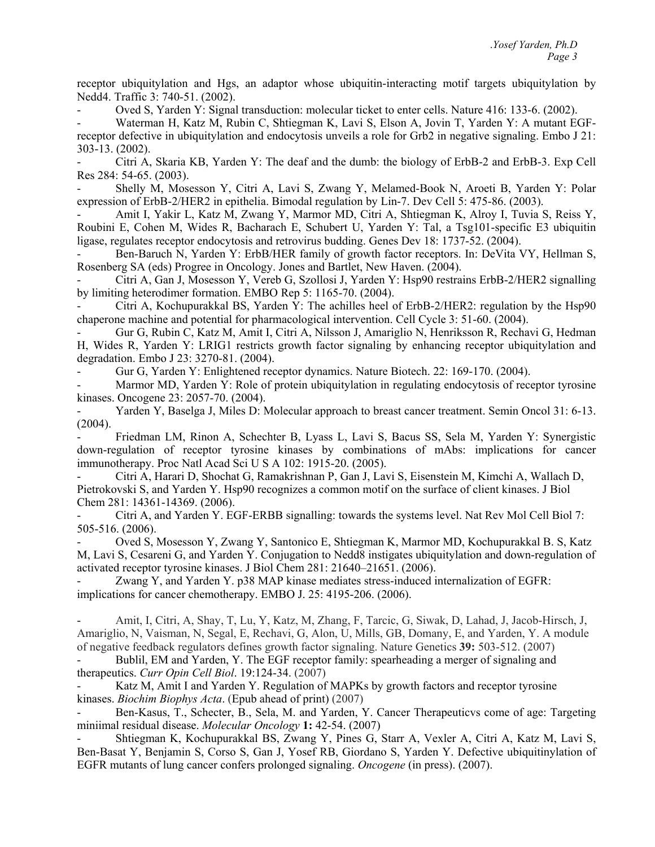receptor ubiquitylation and Hgs, an adaptor whose ubiquitin-interacting motif targets ubiquitylation by Nedd4. Traffic 3: 740-51. (2002).

- Oved S, Yarden Y: Signal transduction: molecular ticket to enter cells. Nature 416: 133-6. (2002).

Waterman H, Katz M, Rubin C, Shtiegman K, Lavi S, Elson A, Jovin T, Yarden Y: A mutant EGFreceptor defective in ubiquitylation and endocytosis unveils a role for Grb2 in negative signaling. Embo J 21: 303-13. (2002).

- Citri A, Skaria KB, Yarden Y: The deaf and the dumb: the biology of ErbB-2 and ErbB-3. Exp Cell Res 284: 54-65. (2003).

- Shelly M, Mosesson Y, Citri A, Lavi S, Zwang Y, Melamed-Book N, Aroeti B, Yarden Y: Polar expression of ErbB-2/HER2 in epithelia. Bimodal regulation by Lin-7. Dev Cell 5: 475-86. (2003).

- Amit I, Yakir L, Katz M, Zwang Y, Marmor MD, Citri A, Shtiegman K, Alroy I, Tuvia S, Reiss Y, Roubini E, Cohen M, Wides R, Bacharach E, Schubert U, Yarden Y: Tal, a Tsg101-specific E3 ubiquitin ligase, regulates receptor endocytosis and retrovirus budding. Genes Dev 18: 1737-52. (2004).

Ben-Baruch N, Yarden Y: ErbB/HER family of growth factor receptors. In: DeVita VY, Hellman S, Rosenberg SA (eds) Progree in Oncology. Jones and Bartlet, New Haven. (2004).

- Citri A, Gan J, Mosesson Y, Vereb G, Szollosi J, Yarden Y: Hsp90 restrains ErbB-2/HER2 signalling by limiting heterodimer formation. EMBO Rep 5: 1165-70. (2004).

- Citri A, Kochupurakkal BS, Yarden Y: The achilles heel of ErbB-2/HER2: regulation by the Hsp90 chaperone machine and potential for pharmacological intervention. Cell Cycle 3: 51-60. (2004).

- Gur G, Rubin C, Katz M, Amit I, Citri A, Nilsson J, Amariglio N, Henriksson R, Rechavi G, Hedman H, Wides R, Yarden Y: LRIG1 restricts growth factor signaling by enhancing receptor ubiquitylation and degradation. Embo J 23: 3270-81. (2004).

- Gur G, Yarden Y: Enlightened receptor dynamics. Nature Biotech. 22: 169-170. (2004).

Marmor MD, Yarden Y: Role of protein ubiquitylation in regulating endocytosis of receptor tyrosine kinases. Oncogene 23: 2057-70. (2004).

Yarden Y, Baselga J, Miles D: Molecular approach to breast cancer treatment. Semin Oncol 31: 6-13. (2004).

- Friedman LM, Rinon A, Schechter B, Lyass L, Lavi S, Bacus SS, Sela M, Yarden Y: Synergistic down-regulation of receptor tyrosine kinases by combinations of mAbs: implications for cancer immunotherapy. Proc Natl Acad Sci U S A 102: 1915-20. (2005).

- Citri A, Harari D, Shochat G, Ramakrishnan P, Gan J, Lavi S, Eisenstein M, Kimchi A, Wallach D, Pietrokovski S, and Yarden Y. Hsp90 recognizes a common motif on the surface of client kinases. J Biol Chem 281: 14361-14369. (2006).

- Citri A, and Yarden Y. EGF-ERBB signalling: towards the systems level. Nat Rev Mol Cell Biol 7: 505-516. (2006).

- Oved S, Mosesson Y, Zwang Y, Santonico E, Shtiegman K, Marmor MD, Kochupurakkal B. S, Katz M, Lavi S, Cesareni G, and Yarden Y. Conjugation to Nedd8 instigates ubiquitylation and down-regulation of activated receptor tyrosine kinases. J Biol Chem 281: 21640–21651. (2006).

Zwang Y, and Yarden Y. p38 MAP kinase mediates stress-induced internalization of EGFR: implications for cancer chemotherapy. EMBO J. 25: 4195-206. (2006).

- Amit, I, Citri, A, Shay, T, Lu, Y, Katz, M, Zhang, F, Tarcic, G, Siwak, D, Lahad, J, Jacob-Hirsch, J, Amariglio, N, Vaisman, N, Segal, E, Rechavi, G, Alon, U, Mills, GB, Domany, E, and Yarden, Y. A module of negative feedback regulators defines growth factor signaling. Nature Genetics **39:** 503-512. (2007)

Bublil, EM and Yarden, Y. The EGF receptor family: spearheading a merger of signaling and therapeutics. *Curr Opin Cell Biol*. 19:124-34. (2007)

Katz M, Amit I and Yarden Y. Regulation of MAPKs by growth factors and receptor tyrosine kinases. *Biochim Biophys Acta*. (Epub ahead of print) (2007)

Ben-Kasus, T., Schecter, B., Sela, M. and Yarden, Y. Cancer Therapeuticvs come of age: Targeting miniimal residual disease. *Molecular Oncology* **1:** 42-54. (2007)

- Shtiegman K, Kochupurakkal BS, Zwang Y, Pines G, Starr A, Vexler A, Citri A, Katz M, Lavi S, Ben-Basat Y, Benjamin S, Corso S, Gan J, Yosef RB, Giordano S, Yarden Y. Defective ubiquitinylation of EGFR mutants of lung cancer confers prolonged signaling. *Oncogene* (in press). (2007).